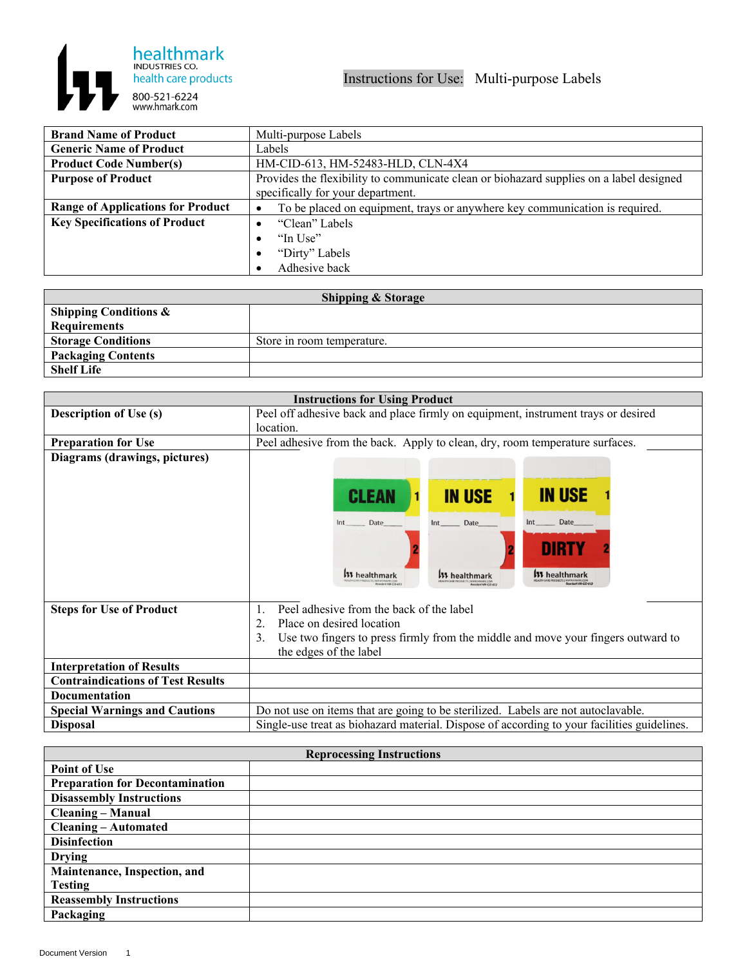

| <b>Brand Name of Product</b>             | Multi-purpose Labels                                                                    |
|------------------------------------------|-----------------------------------------------------------------------------------------|
| <b>Generic Name of Product</b>           | Labels                                                                                  |
| <b>Product Code Number(s)</b>            | HM-CID-613, HM-52483-HLD, CLN-4X4                                                       |
| <b>Purpose of Product</b>                | Provides the flexibility to communicate clean or biohazard supplies on a label designed |
|                                          | specifically for your department.                                                       |
| <b>Range of Applications for Product</b> | To be placed on equipment, trays or anywhere key communication is required.<br>٠        |
| <b>Key Specifications of Product</b>     | "Clean" Labels                                                                          |
|                                          | "In Use"<br>$\bullet$                                                                   |
|                                          | "Dirty" Labels<br>$\bullet$                                                             |
|                                          | Adhesive back                                                                           |

| <b>Shipping &amp; Storage</b>    |                            |  |
|----------------------------------|----------------------------|--|
| <b>Shipping Conditions &amp;</b> |                            |  |
| <b>Requirements</b>              |                            |  |
| <b>Storage Conditions</b>        | Store in room temperature. |  |
| <b>Packaging Contents</b>        |                            |  |
| <b>Shelf Life</b>                |                            |  |

| <b>Instructions for Using Product</b>    |                                                                                                                                                                                                                       |
|------------------------------------------|-----------------------------------------------------------------------------------------------------------------------------------------------------------------------------------------------------------------------|
| <b>Description of Use (s)</b>            | Peel off adhesive back and place firmly on equipment, instrument trays or desired                                                                                                                                     |
|                                          | location.                                                                                                                                                                                                             |
| <b>Preparation for Use</b>               | Peel adhesive from the back. Apply to clean, dry, room temperature surfaces.                                                                                                                                          |
| Diagrams (drawings, pictures)            | <b>IN USE</b><br><b>IN USE</b><br><b>CLEAN</b><br>Int Date<br>Date<br>Date<br>Int<br>Int<br>DIRTY<br><b>W</b> healthmark<br><b>W</b> healthmark<br><b>W</b> healthmark<br>wheel HM-CID-61<br><b>Rendert HMCID-611</b> |
| <b>Steps for Use of Product</b>          | Peel adhesive from the back of the label<br>$\mathbf{1}$<br>2<br>Place on desired location<br>3.<br>Use two fingers to press firmly from the middle and move your fingers outward to                                  |
|                                          | the edges of the label                                                                                                                                                                                                |
| <b>Interpretation of Results</b>         |                                                                                                                                                                                                                       |
| <b>Contraindications of Test Results</b> |                                                                                                                                                                                                                       |
| <b>Documentation</b>                     |                                                                                                                                                                                                                       |
| <b>Special Warnings and Cautions</b>     | Do not use on items that are going to be sterilized. Labels are not autoclavable.                                                                                                                                     |
| <b>Disposal</b>                          | Single-use treat as biohazard material. Dispose of according to your facilities guidelines.                                                                                                                           |

| <b>Reprocessing Instructions</b>       |  |  |
|----------------------------------------|--|--|
| <b>Point of Use</b>                    |  |  |
| <b>Preparation for Decontamination</b> |  |  |
| <b>Disassembly Instructions</b>        |  |  |
| <b>Cleaning – Manual</b>               |  |  |
| <b>Cleaning – Automated</b>            |  |  |
| <b>Disinfection</b>                    |  |  |
| <b>Drying</b>                          |  |  |
| Maintenance, Inspection, and           |  |  |
| <b>Testing</b>                         |  |  |
| <b>Reassembly Instructions</b>         |  |  |
| Packaging                              |  |  |